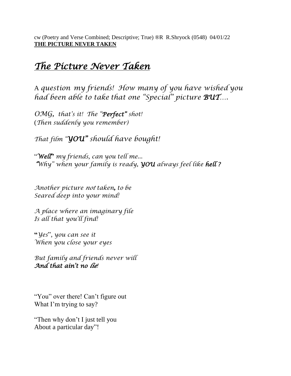cw (Poetry and Verse Combined; Descriptive; True) ®R R.Shryock (0548) 04/01/22 **THE PICTURE NEVER TAKEN**

## *The Picture Never Taken*

A *question my friends! How many of you have wished you had been able to take that one "Special" picture BUT….* 

*OMG, that's it! The "Perfect" shot!* (*Then suddenly you remember)*

*That film "YOU" should have bought!*

"*Well***"** *my friends*, *can you tell me... "Why" when your family is ready, YOU always feel like hell ?*

*Another picture not taken***,** *to be Seared deep into your mind!*

*A place where an imaginary file Is all that you'll find!* 

**"***Yes*", *you can see it When you close your eyes*

*But family and friends never will And that ain't no lie!*

"You" over there! Can't figure out What I'm trying to say?

"Then why don't I just tell you About a particular day"!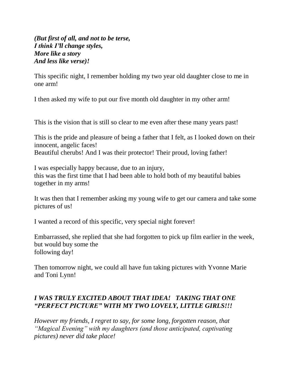*(But first of all, and not to be terse, I think I'll change styles, More like a story And less like verse)!*

This specific night, I remember holding my two year old daughter close to me in one arm!

I then asked my wife to put our five month old daughter in my other arm!

This is the vision that is still so clear to me even after these many years past!

This is the pride and pleasure of being a father that I felt, as I looked down on their innocent, angelic faces! Beautiful cherubs! And I was their protector! Their proud, loving father!

I was especially happy because, due to an injury, this was the first time that I had been able to hold both of my beautiful babies together in my arms!

It was then that I remember asking my young wife to get our camera and take some pictures of us!

I wanted a record of this specific, very special night forever!

Embarrassed, she replied that she had forgotten to pick up film earlier in the week, but would buy some the following day!

Then tomorrow night, we could all have fun taking pictures with Yvonne Marie and Toni Lynn!

## *I WAS TRULY EXCITED ABOUT THAT IDEA! TAKING THAT ONE "PERFECT PICTURE" WITH MY TWO LOVELY, LITTLE GIRLS!!!*

*However my friends, I regret to say, for some long, forgotten reason, that "Magical Evening" with my daughters (and those anticipated, captivating pictures) never did take place!*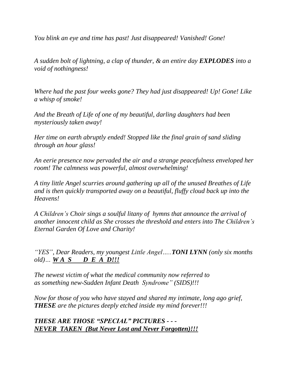*You blink an eye and time has past! Just disappeared! Vanished! Gone!*

*A sudden bolt of lightning, a clap of thunder, & an entire day EXPLODES into a void of nothingness!*

*Where had the past four weeks gone? They had just disappeared! Up! Gone! Like a whisp of smoke!*

*And the Breath of Life of one of my beautiful, darling daughters had been mysteriously taken away!*

*Her time on earth abruptly ended! Stopped like the final grain of sand sliding through an hour glass!*

*An eerie presence now pervaded the air and a strange peacefulness enveloped her room! The calmness was powerful, almost overwhelming!*

*A tiny little Angel scurries around gathering up all of the unused Breathes of Life and is then quickly transported away on a beautiful, fluffy cloud back up into the Heavens!*

*A Children's Choir sings a soulful litany of hymns that announce the arrival of another innocent child as She crosses the threshold and enters into The Children's Eternal Garden Of Love and Charity!*

*"YES", Dear Readers, my youngest Little Angel…..TONI LYNN (only six months old)… W A S D E A D!!!* 

*The newest victim of what the medical community now referred to as something new-Sudden Infant Death Syndrome" (SIDS)!!!*

*Now for those of you who have stayed and shared my intimate, long ago grief, THESE are the pictures deeply etched inside my mind forever!!!*

## *THESE ARE THOSE "SPECIAL" PICTURES - - - NEVER TAKEN (But Never Lost and Never Forgotten)!!!*